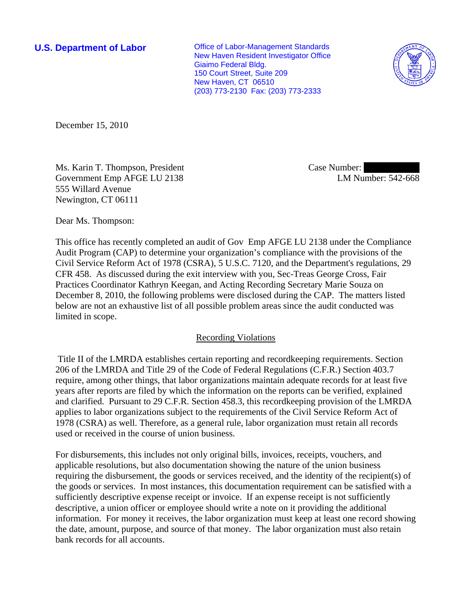**U.S. Department of Labor Conservative Conservative Conservative Conservative Conservative Conservative Conservative Conservative Conservative Conservative Conservative Conservative Conservative Conservative Conservative** New Haven Resident Investigator Office Giaimo Federal Bldg. 150 Court Street, Suite 209 New Haven, CT 06510 (203) 773-2130 Fax: (203) 773-2333



December 15, 2010

Ms. Karin T. Thompson, President Government Emp AFGE LU 2138 555 Willard Avenue Newington, CT 06111

Case Number: LM Number: 542-668

Dear Ms. Thompson:

This office has recently completed an audit of Gov Emp AFGE LU 2138 under the Compliance Audit Program (CAP) to determine your organization's compliance with the provisions of the Civil Service Reform Act of 1978 (CSRA), 5 U.S.C. 7120, and the Department's regulations, 29 CFR 458. As discussed during the exit interview with you, Sec-Treas George Cross, Fair Practices Coordinator Kathryn Keegan, and Acting Recording Secretary Marie Souza on December 8, 2010, the following problems were disclosed during the CAP. The matters listed below are not an exhaustive list of all possible problem areas since the audit conducted was limited in scope.

# Recording Violations

 Title II of the LMRDA establishes certain reporting and recordkeeping requirements. Section 206 of the LMRDA and Title 29 of the Code of Federal Regulations (C.F.R.) Section 403.7 require, among other things, that labor organizations maintain adequate records for at least five years after reports are filed by which the information on the reports can be verified, explained and clarified. Pursuant to 29 C.F.R. Section 458.3, this recordkeeping provision of the LMRDA applies to labor organizations subject to the requirements of the Civil Service Reform Act of 1978 (CSRA) as well. Therefore, as a general rule, labor organization must retain all records used or received in the course of union business.

For disbursements, this includes not only original bills, invoices, receipts, vouchers, and applicable resolutions, but also documentation showing the nature of the union business requiring the disbursement, the goods or services received, and the identity of the recipient(s) of the goods or services. In most instances, this documentation requirement can be satisfied with a sufficiently descriptive expense receipt or invoice. If an expense receipt is not sufficiently descriptive, a union officer or employee should write a note on it providing the additional information. For money it receives, the labor organization must keep at least one record showing the date, amount, purpose, and source of that money. The labor organization must also retain bank records for all accounts.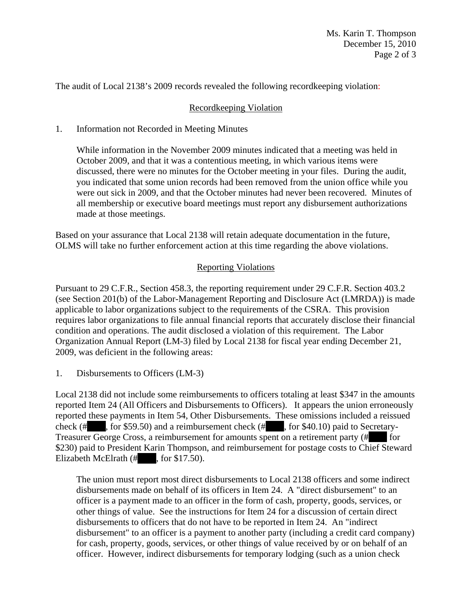The audit of Local 2138's 2009 records revealed the following recordkeeping violation:

## Recordkeeping Violation

## 1. Information not Recorded in Meeting Minutes

While information in the November 2009 minutes indicated that a meeting was held in October 2009, and that it was a contentious meeting, in which various items were discussed, there were no minutes for the October meeting in your files. During the audit, you indicated that some union records had been removed from the union office while you were out sick in 2009, and that the October minutes had never been recovered. Minutes of all membership or executive board meetings must report any disbursement authorizations made at those meetings.

Based on your assurance that Local 2138 will retain adequate documentation in the future, OLMS will take no further enforcement action at this time regarding the above violations.

#### Reporting Violations

Pursuant to 29 C.F.R., Section 458.3, the reporting requirement under 29 C.F.R. Section 403.2 (see Section 201(b) of the Labor-Management Reporting and Disclosure Act (LMRDA)) is made applicable to labor organizations subject to the requirements of the CSRA. This provision requires labor organizations to file annual financial reports that accurately disclose their financial condition and operations. The audit disclosed a violation of this requirement. The Labor Organization Annual Report (LM-3) filed by Local 2138 for fiscal year ending December 21, 2009, was deficient in the following areas:

1. Disbursements to Officers (LM-3)

Local 2138 did not include some reimbursements to officers totaling at least \$347 in the amounts reported Item 24 (All Officers and Disbursements to Officers). It appears the union erroneously reported these payments in Item 54, Other Disbursements. These omissions included a reissued check (# $\;$ , for \$59.50) and a reimbursement check (# $\;$ , for \$40.10) paid to Secretary-Treasurer George Cross, a reimbursement for amounts spent on a retirement party (# ||||||||||||||||||||||||||| \$230) paid to President Karin Thompson, and reimbursement for postage costs to Chief Steward Elizabeth McElrath  $(\# \quad$ , for \$17.50).

The union must report most direct disbursements to Local 2138 officers and some indirect disbursements made on behalf of its officers in Item 24. A "direct disbursement" to an officer is a payment made to an officer in the form of cash, property, goods, services, or other things of value. See the instructions for Item 24 for a discussion of certain direct disbursements to officers that do not have to be reported in Item 24. An "indirect disbursement" to an officer is a payment to another party (including a credit card company) for cash, property, goods, services, or other things of value received by or on behalf of an officer. However, indirect disbursements for temporary lodging (such as a union check